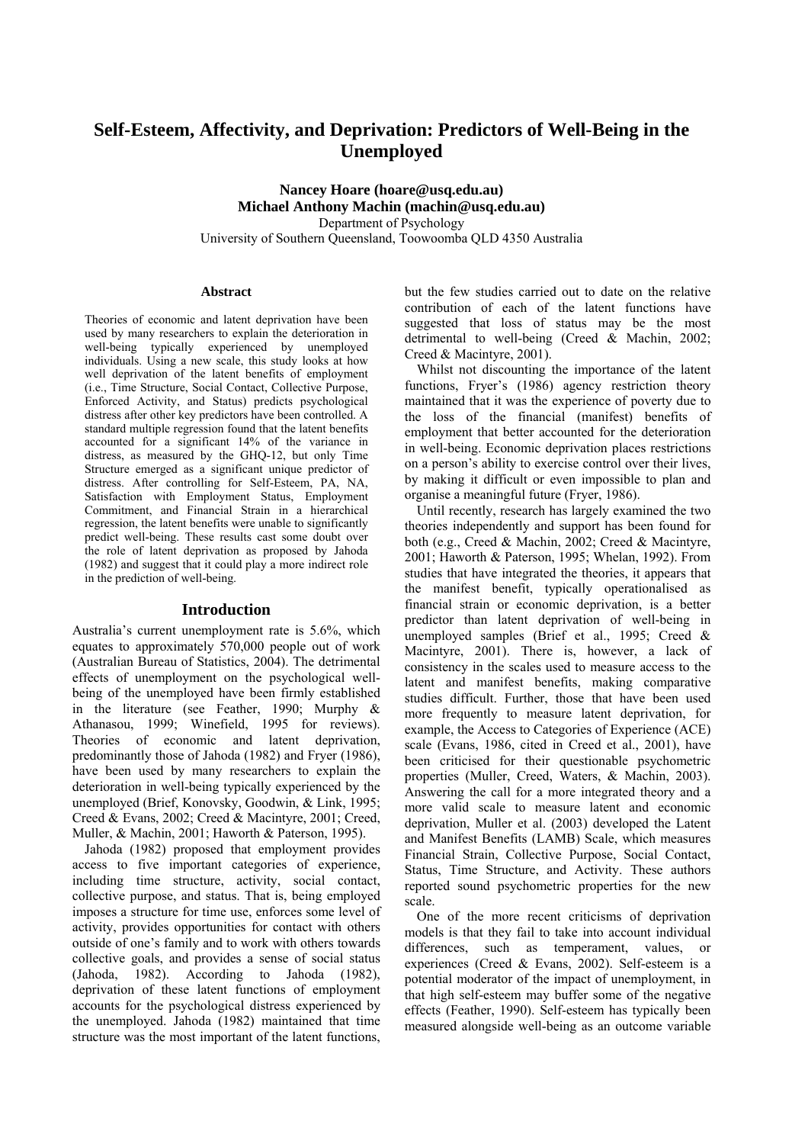# **Self-Esteem, Affectivity, and Deprivation: Predictors of Well-Being in the Unemployed**

**Nancey Hoare (hoare@usq.edu.au) Michael Anthony Machin (machin@usq.edu.au)**  Department of Psychology University of Southern Queensland, Toowoomba QLD 4350 Australia

## **Abstract**

Theories of economic and latent deprivation have been used by many researchers to explain the deterioration in well-being typically experienced by unemployed individuals. Using a new scale, this study looks at how well deprivation of the latent benefits of employment (i.e., Time Structure, Social Contact, Collective Purpose, Enforced Activity, and Status) predicts psychological distress after other key predictors have been controlled. A standard multiple regression found that the latent benefits accounted for a significant 14% of the variance in distress, as measured by the GHQ-12, but only Time Structure emerged as a significant unique predictor of distress. After controlling for Self-Esteem, PA, NA, Satisfaction with Employment Status, Employment Commitment, and Financial Strain in a hierarchical regression, the latent benefits were unable to significantly predict well-being. These results cast some doubt over the role of latent deprivation as proposed by Jahoda (1982) and suggest that it could play a more indirect role in the prediction of well-being.

#### **Introduction**

Australia's current unemployment rate is 5.6%, which equates to approximately 570,000 people out of work (Australian Bureau of Statistics, 2004). The detrimental effects of unemployment on the psychological wellbeing of the unemployed have been firmly established in the literature (see Feather, 1990; Murphy & Athanasou, 1999; Winefield, 1995 for reviews). Theories of economic and latent deprivation, predominantly those of Jahoda (1982) and Fryer (1986), have been used by many researchers to explain the deterioration in well-being typically experienced by the unemployed (Brief, Konovsky, Goodwin, & Link, 1995; Creed & Evans, 2002; Creed & Macintyre, 2001; Creed, Muller, & Machin, 2001; Haworth & Paterson, 1995).

Jahoda (1982) proposed that employment provides access to five important categories of experience, including time structure, activity, social contact, collective purpose, and status. That is, being employed imposes a structure for time use, enforces some level of activity, provides opportunities for contact with others outside of one's family and to work with others towards collective goals, and provides a sense of social status (Jahoda, 1982). According to Jahoda (1982), deprivation of these latent functions of employment accounts for the psychological distress experienced by the unemployed. Jahoda (1982) maintained that time structure was the most important of the latent functions, but the few studies carried out to date on the relative contribution of each of the latent functions have suggested that loss of status may be the most detrimental to well-being (Creed & Machin, 2002; Creed & Macintyre, 2001).

Whilst not discounting the importance of the latent functions, Fryer's (1986) agency restriction theory maintained that it was the experience of poverty due to the loss of the financial (manifest) benefits of employment that better accounted for the deterioration in well-being. Economic deprivation places restrictions on a person's ability to exercise control over their lives, by making it difficult or even impossible to plan and organise a meaningful future (Fryer, 1986).

Until recently, research has largely examined the two theories independently and support has been found for both (e.g., Creed & Machin, 2002; Creed & Macintyre, 2001; Haworth & Paterson, 1995; Whelan, 1992). From studies that have integrated the theories, it appears that the manifest benefit, typically operationalised as financial strain or economic deprivation, is a better predictor than latent deprivation of well-being in unemployed samples (Brief et al., 1995; Creed & Macintyre, 2001). There is, however, a lack of consistency in the scales used to measure access to the latent and manifest benefits, making comparative studies difficult. Further, those that have been used more frequently to measure latent deprivation, for example, the Access to Categories of Experience (ACE) scale (Evans, 1986, cited in Creed et al., 2001), have been criticised for their questionable psychometric properties (Muller, Creed, Waters, & Machin, 2003). Answering the call for a more integrated theory and a more valid scale to measure latent and economic deprivation, Muller et al. (2003) developed the Latent and Manifest Benefits (LAMB) Scale, which measures Financial Strain, Collective Purpose, Social Contact, Status, Time Structure, and Activity. These authors reported sound psychometric properties for the new scale.

One of the more recent criticisms of deprivation models is that they fail to take into account individual differences, such as temperament, values, or experiences (Creed & Evans, 2002). Self-esteem is a potential moderator of the impact of unemployment, in that high self-esteem may buffer some of the negative effects (Feather, 1990). Self-esteem has typically been measured alongside well-being as an outcome variable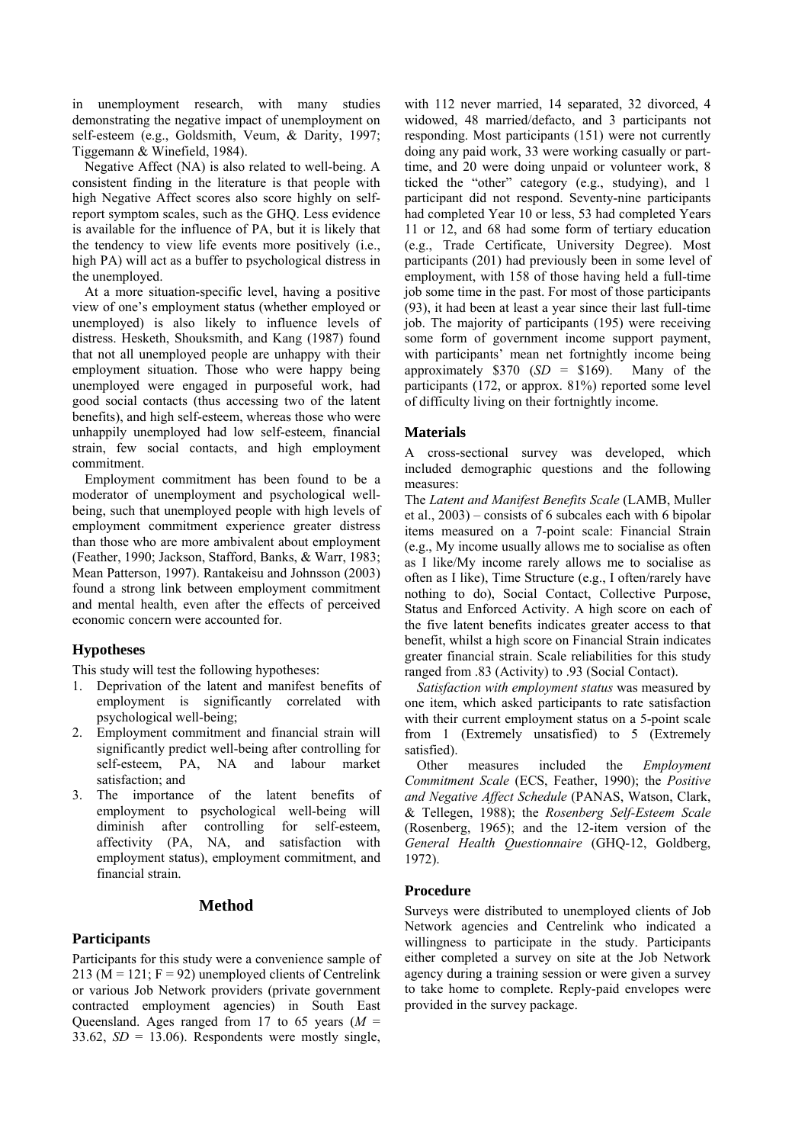in unemployment research, with many studies demonstrating the negative impact of unemployment on self-esteem (e.g., Goldsmith, Veum, & Darity, 1997; Tiggemann & Winefield, 1984).

Negative Affect (NA) is also related to well-being. A consistent finding in the literature is that people with high Negative Affect scores also score highly on selfreport symptom scales, such as the GHQ. Less evidence is available for the influence of PA, but it is likely that the tendency to view life events more positively (i.e., high PA) will act as a buffer to psychological distress in the unemployed.

At a more situation-specific level, having a positive view of one's employment status (whether employed or unemployed) is also likely to influence levels of distress. Hesketh, Shouksmith, and Kang (1987) found that not all unemployed people are unhappy with their employment situation. Those who were happy being unemployed were engaged in purposeful work, had good social contacts (thus accessing two of the latent benefits), and high self-esteem, whereas those who were unhappily unemployed had low self-esteem, financial strain, few social contacts, and high employment commitment.

Employment commitment has been found to be a moderator of unemployment and psychological wellbeing, such that unemployed people with high levels of employment commitment experience greater distress than those who are more ambivalent about employment (Feather, 1990; Jackson, Stafford, Banks, & Warr, 1983; Mean Patterson, 1997). Rantakeisu and Johnsson (2003) found a strong link between employment commitment and mental health, even after the effects of perceived economic concern were accounted for.

# **Hypotheses**

This study will test the following hypotheses:

- 1. Deprivation of the latent and manifest benefits of employment is significantly correlated with psychological well-being;
- 2. Employment commitment and financial strain will significantly predict well-being after controlling for self-esteem, PA, NA and labour market satisfaction; and
- 3. The importance of the latent benefits of employment to psychological well-being will diminish after controlling for self-esteem, affectivity (PA, NA, and satisfaction with employment status), employment commitment, and financial strain.

### **Method**

### **Participants**

Participants for this study were a convenience sample of 213 ( $M = 121$ ;  $F = 92$ ) unemployed clients of Centrelink or various Job Network providers (private government contracted employment agencies) in South East Queensland. Ages ranged from 17 to 65 years  $(M =$ 33.62,  $SD = 13.06$ ). Respondents were mostly single, with 112 never married, 14 separated, 32 divorced, 4 widowed, 48 married/defacto, and 3 participants not responding. Most participants (151) were not currently doing any paid work, 33 were working casually or parttime, and 20 were doing unpaid or volunteer work, 8 ticked the "other" category (e.g., studying), and 1 participant did not respond. Seventy-nine participants had completed Year 10 or less, 53 had completed Years 11 or 12, and 68 had some form of tertiary education (e.g., Trade Certificate, University Degree). Most participants (201) had previously been in some level of employment, with 158 of those having held a full-time job some time in the past. For most of those participants (93), it had been at least a year since their last full-time job. The majority of participants (195) were receiving some form of government income support payment, with participants' mean net fortnightly income being approximately \$370 (*SD* = \$169). Many of the participants (172, or approx. 81%) reported some level of difficulty living on their fortnightly income.

#### **Materials**

A cross-sectional survey was developed, which included demographic questions and the following measures:

The *Latent and Manifest Benefits Scale* (LAMB, Muller et al.,  $2003$  – consists of 6 subcales each with 6 bipolar items measured on a 7-point scale: Financial Strain (e.g., My income usually allows me to socialise as often as I like/My income rarely allows me to socialise as often as I like), Time Structure (e.g., I often/rarely have nothing to do), Social Contact, Collective Purpose, Status and Enforced Activity. A high score on each of the five latent benefits indicates greater access to that benefit, whilst a high score on Financial Strain indicates greater financial strain. Scale reliabilities for this study ranged from .83 (Activity) to .93 (Social Contact).

*Satisfaction with employment status* was measured by one item, which asked participants to rate satisfaction with their current employment status on a 5-point scale from 1 (Extremely unsatisfied) to 5 (Extremely satisfied).

Other measures included the *Employment Commitment Scale* (ECS, Feather, 1990); the *Positive and Negative Affect Schedule* (PANAS, Watson, Clark, & Tellegen, 1988); the *Rosenberg Self-Esteem Scale* (Rosenberg, 1965); and the 12-item version of the *General Health Questionnaire* (GHQ-12, Goldberg, 1972).

### **Procedure**

Surveys were distributed to unemployed clients of Job Network agencies and Centrelink who indicated a willingness to participate in the study. Participants either completed a survey on site at the Job Network agency during a training session or were given a survey to take home to complete. Reply-paid envelopes were provided in the survey package.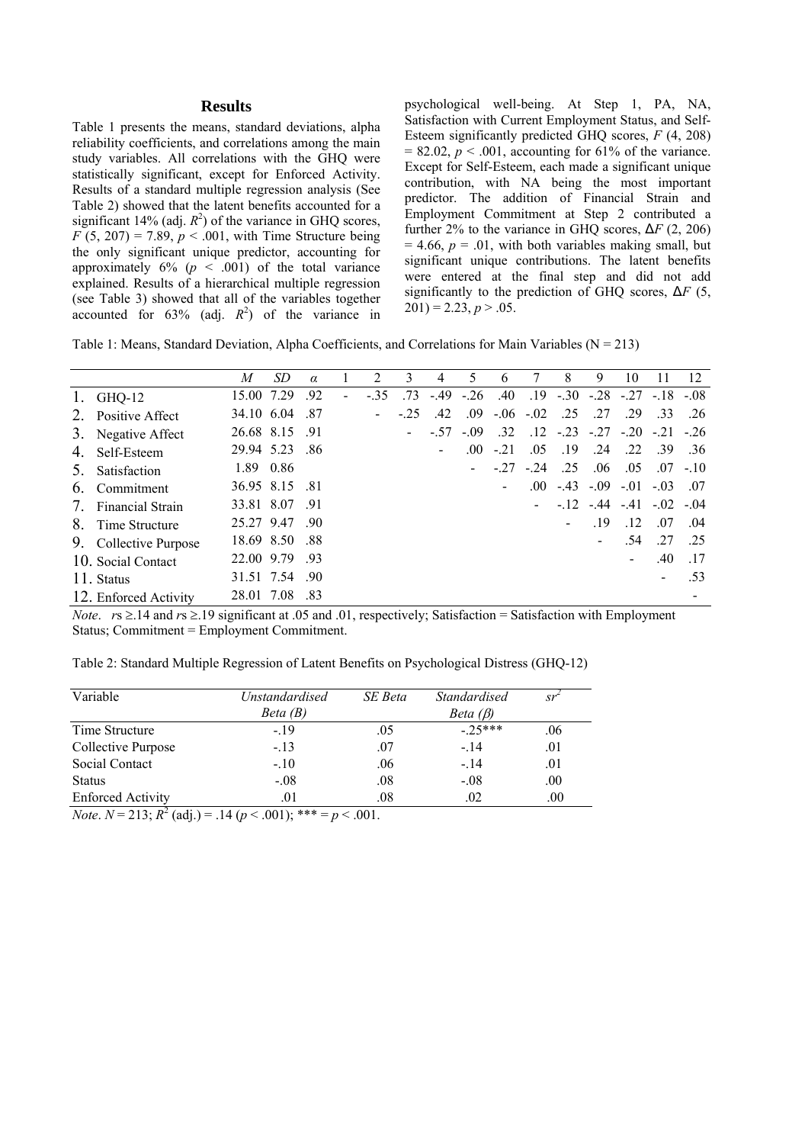## **Results**

Table 1 presents the means, standard deviations, alpha reliability coefficients, and correlations among the main study variables. All correlations with the GHQ were statistically significant, except for Enforced Activity. Results of a standard multiple regression analysis (See Table 2) showed that the latent benefits accounted for a significant 14% (adj.  $R^2$ ) of the variance in GHQ scores,  $F (5, 207) = 7.89, p < .001$ , with Time Structure being the only significant unique predictor, accounting for approximately  $6\%$  ( $p < .001$ ) of the total variance explained. Results of a hierarchical multiple regression (see Table 3) showed that all of the variables together accounted for  $63\%$  (adj.  $R^2$ ) of the variance in psychological well-being. At Step 1, PA, NA, Satisfaction with Current Employment Status, and Self-Esteem significantly predicted GHQ scores, *F* (4, 208)  $= 82.02, p \le 0.001$ , accounting for 61% of the variance. Except for Self-Esteem, each made a significant unique contribution, with NA being the most important predictor. The addition of Financial Strain and Employment Commitment at Step 2 contributed a further 2% to the variance in GHQ scores,  $\Delta F$  (2, 206)  $= 4.66$ ,  $p = .01$ , with both variables making small, but significant unique contributions. The latent benefits were entered at the final step and did not add significantly to the prediction of GHQ scores,  $\Delta F$  (5,  $201$ ) = 2.23, *p* > .05.

|  |  | Table 1: Means, Standard Deviation, Alpha Coefficients, and Correlations for Main Variables ( $N = 213$ ) |  |
|--|--|-----------------------------------------------------------------------------------------------------------|--|
|--|--|-----------------------------------------------------------------------------------------------------------|--|

|         |                         | M              | SD | $\alpha$ |        |                |       |                  |                          |     | 8                                              | 9   | 10  |                               | 12          |
|---------|-------------------------|----------------|----|----------|--------|----------------|-------|------------------|--------------------------|-----|------------------------------------------------|-----|-----|-------------------------------|-------------|
| 1.      | GHQ-12                  | 15.00 7.29     |    | .92      | $-.35$ | .73            | $-49$ | $-26$            |                          |     | $.40$ $.19$ $-.30$ $-.28$ $-.27$ $-.18$ $-.08$ |     |     |                               |             |
| 2.      | <b>Positive Affect</b>  | 34.10 6.04     |    | - 87     |        | $-25$          | .42   | .09 <sub>1</sub> | $-.06-.02$               |     | .25                                            | .27 | .29 | .33                           | .26         |
|         | 3. Negative Affect      | 26.68 8.15 .91 |    |          |        | $\blacksquare$ | $-57$ | $-09$            | .32                      |     | $.12$ $-.23$ $-.27$ $-.20$ $-.21$ $-.26$       |     |     |                               |             |
| 4.      | Self-Esteem             | 29.94 5.23 .86 |    |          |        |                |       | .00              | $-.21$                   | .05 | .19                                            | .24 | .22 | - 39                          | .36         |
| $5_{-}$ | Satisfaction            | 1.89 0.86      |    |          |        |                |       |                  | $-27 - 24$               |     | - 25                                           | .06 | .05 |                               | $.07 - .10$ |
| 6.      | Commitment              | 36.95 8.15 81  |    |          |        |                |       |                  | $\overline{\phantom{a}}$ |     | $.00 - 43 - .09 - .01 - .03$                   |     |     |                               | 07          |
| 7       | <b>Financial Strain</b> | 33.81 8.07 .91 |    |          |        |                |       |                  |                          |     |                                                |     |     | $-12$ $-44$ $-41$ $-02$ $-04$ |             |
|         | 8. Time Structure       | 25.27 9.47 .90 |    |          |        |                |       |                  |                          |     |                                                | .19 | .12 | .07                           | .04         |
|         | 9. Collective Purpose   | 18.69 8.50 .88 |    |          |        |                |       |                  |                          |     |                                                |     | .54 | .27                           | .25         |
|         | 10. Social Contact      | 22.00 9.79 .93 |    |          |        |                |       |                  |                          |     |                                                |     |     | .40                           | .17         |
|         | 11. Status              | 31.51 7.54 .90 |    |          |        |                |       |                  |                          |     |                                                |     |     |                               | .53         |
|         | 12. Enforced Activity   | 28.01 7.08 .83 |    |          |        |                |       |                  |                          |     |                                                |     |     |                               |             |

*Note*. *r*s ≥.14 and *r*s ≥.19 significant at .05 and .01, respectively; Satisfaction = Satisfaction with Employment Status; Commitment = Employment Commitment.

Table 2: Standard Multiple Regression of Latent Benefits on Psychological Distress (GHQ-12)

| Variable                 | Unstandardised | SE Beta | <i>Standardised</i> | sr      |
|--------------------------|----------------|---------|---------------------|---------|
|                          | Beta(B)        |         | Beta $(\beta)$      |         |
| Time Structure           | $-19$          | .05     | $-.25***$           | .06     |
| Collective Purpose       | $-.13$         | .07     | $-14$               | .01     |
| Social Contact           | $-.10$         | .06     | $-.14$              | .01     |
| <b>Status</b>            | $-.08$         | .08     | $-.08$              | .00     |
| <b>Enforced Activity</b> | .01            | .08     | .02                 | $.00\,$ |

*Note*.  $N = 213$ ;  $R^2$  (adj.) = .14 ( $p < .001$ ); \*\*\* =  $p < .001$ .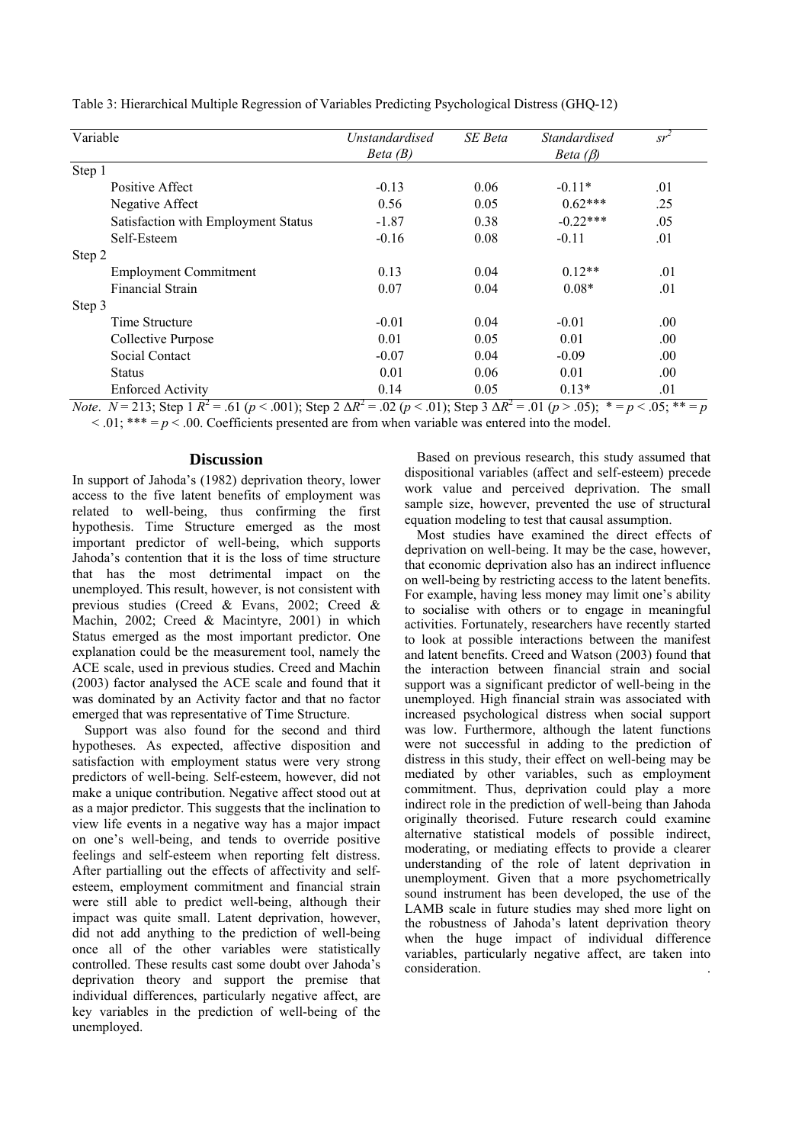| Variable                            | <b>Unstandardised</b> | SE Beta | <i>Standardised</i> | $sr^2$ |
|-------------------------------------|-----------------------|---------|---------------------|--------|
|                                     | Beta(B)               |         | Beta $(\beta)$      |        |
| Step 1                              |                       |         |                     |        |
| Positive Affect                     | $-0.13$               | 0.06    | $-0.11*$            | .01    |
| Negative Affect                     | 0.56                  | 0.05    | $0.62***$           | .25    |
| Satisfaction with Employment Status | $-1.87$               | 0.38    | $-0.22***$          | .05    |
| Self-Esteem                         | $-0.16$               | 0.08    | $-0.11$             | .01    |
| Step 2                              |                       |         |                     |        |
| <b>Employment Commitment</b>        | 0.13                  | 0.04    | $0.12**$            | .01    |
| <b>Financial Strain</b>             | 0.07                  | 0.04    | $0.08*$             | .01    |
| Step 3                              |                       |         |                     |        |
| Time Structure                      | $-0.01$               | 0.04    | $-0.01$             | .00.   |
| Collective Purpose                  | 0.01                  | 0.05    | 0.01                | .00.   |
| Social Contact                      | $-0.07$               | 0.04    | $-0.09$             | .00.   |
| <b>Status</b>                       | 0.01                  | 0.06    | 0.01                | .00.   |
| <b>Enforced Activity</b>            | 0.14                  | 0.05    | $0.13*$             | .01    |

Table 3: Hierarchical Multiple Regression of Variables Predicting Psychological Distress (GHQ-12)

*Note*.  $N = 213$ ; Step 1  $R^2 = .61$  ( $p < .001$ ); Step 2  $\Delta R^2 = .02$  ( $p < .01$ ); Step 3  $\Delta R^2 = .01$  ( $p > .05$ );  $* = p < .05$ ;  $* = p$  $< 0.01$ ; \*\*\* =  $p < 0.00$ . Coefficients presented are from when variable was entered into the model.

# **Discussion**

In support of Jahoda's (1982) deprivation theory, lower access to the five latent benefits of employment was related to well-being, thus confirming the first hypothesis. Time Structure emerged as the most important predictor of well-being, which supports Jahoda's contention that it is the loss of time structure that has the most detrimental impact on the unemployed. This result, however, is not consistent with previous studies (Creed & Evans, 2002; Creed & Machin, 2002; Creed & Macintyre, 2001) in which Status emerged as the most important predictor. One explanation could be the measurement tool, namely the ACE scale, used in previous studies. Creed and Machin (2003) factor analysed the ACE scale and found that it was dominated by an Activity factor and that no factor emerged that was representative of Time Structure.

Support was also found for the second and third hypotheses. As expected, affective disposition and satisfaction with employment status were very strong predictors of well-being. Self-esteem, however, did not make a unique contribution. Negative affect stood out at as a major predictor. This suggests that the inclination to view life events in a negative way has a major impact on one's well-being, and tends to override positive feelings and self-esteem when reporting felt distress. After partialling out the effects of affectivity and selfesteem, employment commitment and financial strain were still able to predict well-being, although their impact was quite small. Latent deprivation, however, did not add anything to the prediction of well-being once all of the other variables were statistically controlled. These results cast some doubt over Jahoda's deprivation theory and support the premise that individual differences, particularly negative affect, are key variables in the prediction of well-being of the unemployed.

Based on previous research, this study assumed that dispositional variables (affect and self-esteem) precede work value and perceived deprivation. The small sample size, however, prevented the use of structural equation modeling to test that causal assumption.

Most studies have examined the direct effects of deprivation on well-being. It may be the case, however, that economic deprivation also has an indirect influence on well-being by restricting access to the latent benefits. For example, having less money may limit one's ability to socialise with others or to engage in meaningful activities. Fortunately, researchers have recently started to look at possible interactions between the manifest and latent benefits. Creed and Watson (2003) found that the interaction between financial strain and social support was a significant predictor of well-being in the unemployed. High financial strain was associated with increased psychological distress when social support was low. Furthermore, although the latent functions were not successful in adding to the prediction of distress in this study, their effect on well-being may be mediated by other variables, such as employment commitment. Thus, deprivation could play a more indirect role in the prediction of well-being than Jahoda originally theorised. Future research could examine alternative statistical models of possible indirect, moderating, or mediating effects to provide a clearer understanding of the role of latent deprivation in unemployment. Given that a more psychometrically sound instrument has been developed, the use of the LAMB scale in future studies may shed more light on the robustness of Jahoda's latent deprivation theory when the huge impact of individual difference variables, particularly negative affect, are taken into consideration. .